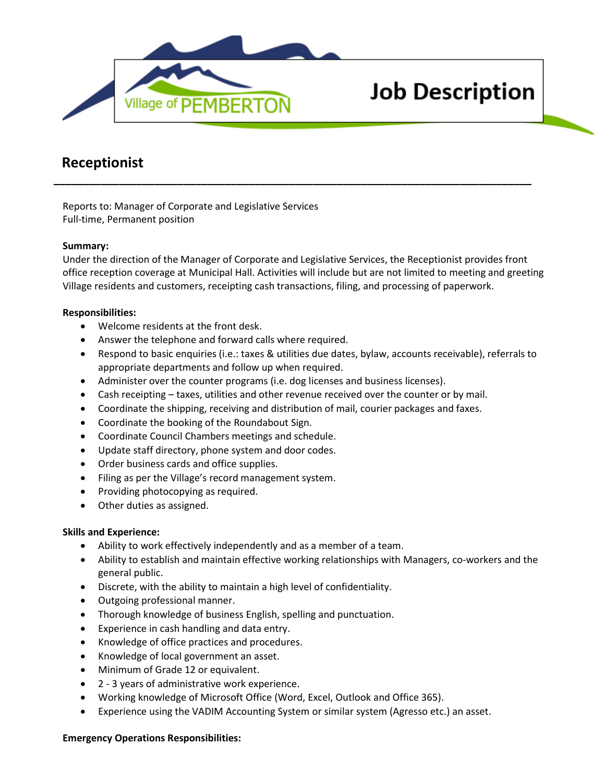

# **Job Description**

# **Receptionist**

Reports to: Manager of Corporate and Legislative Services Full-time, Permanent position

## **Summary:**

Under the direction of the Manager of Corporate and Legislative Services, the Receptionist provides front office reception coverage at Municipal Hall. Activities will include but are not limited to meeting and greeting Village residents and customers, receipting cash transactions, filing, and processing of paperwork.

**\_\_\_\_\_\_\_\_\_\_\_\_\_\_\_\_\_\_\_\_\_\_\_\_\_\_\_\_\_\_\_\_\_\_\_\_\_\_\_\_\_\_\_\_\_\_\_\_\_\_\_\_\_\_\_\_\_\_\_\_\_\_\_\_\_\_\_\_\_\_\_\_\_\_\_\_\_\_\_\_\_**

# **Responsibilities:**

- Welcome residents at the front desk.
- Answer the telephone and forward calls where required.
- Respond to basic enquiries (i.e.: taxes & utilities due dates, bylaw, accounts receivable), referrals to appropriate departments and follow up when required.
- Administer over the counter programs (i.e. dog licenses and business licenses).
- Cash receipting taxes, utilities and other revenue received over the counter or by mail.
- Coordinate the shipping, receiving and distribution of mail, courier packages and faxes.
- Coordinate the booking of the Roundabout Sign.
- Coordinate Council Chambers meetings and schedule.
- Update staff directory, phone system and door codes.
- Order business cards and office supplies.
- Filing as per the Village's record management system.
- Providing photocopying as required.
- Other duties as assigned.

## **Skills and Experience:**

- Ability to work effectively independently and as a member of a team.
- Ability to establish and maintain effective working relationships with Managers, co-workers and the general public.
- Discrete, with the ability to maintain a high level of confidentiality.
- Outgoing professional manner.
- Thorough knowledge of business English, spelling and punctuation.
- Experience in cash handling and data entry.
- Knowledge of office practices and procedures.
- Knowledge of local government an asset.
- Minimum of Grade 12 or equivalent.
- 2 3 years of administrative work experience.
- Working knowledge of Microsoft Office (Word, Excel, Outlook and Office 365).
- Experience using the VADIM Accounting System or similar system (Agresso etc.) an asset.

## **Emergency Operations Responsibilities:**